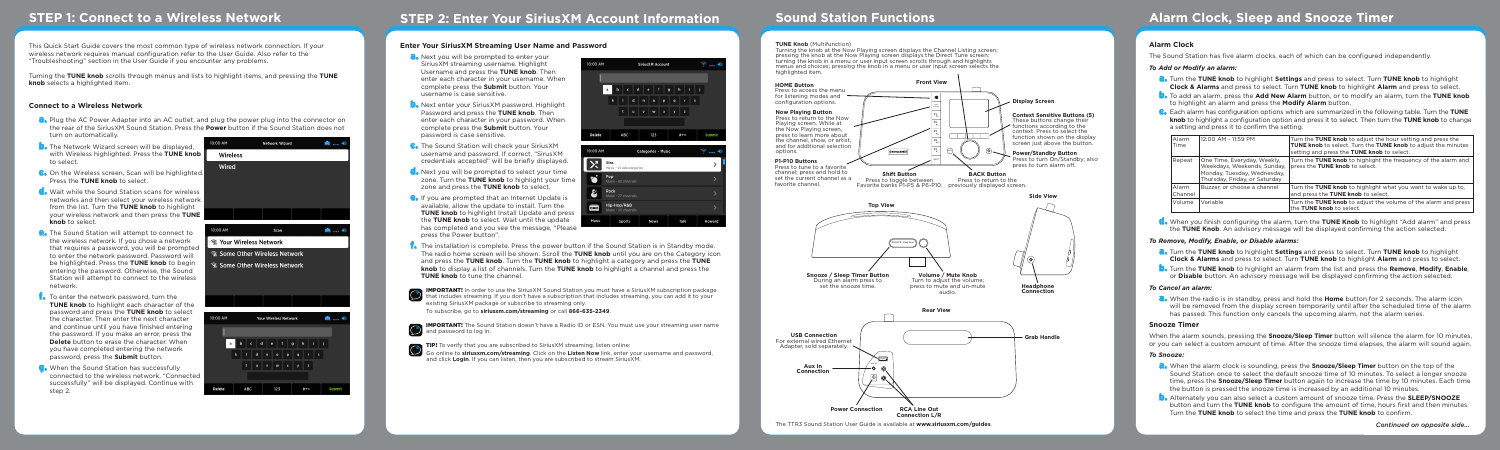### **Enter Your SiriusXM Streaming User Name and Password**

- **a.** Next you will be prompted to enter your SiriusXM streaming username. Highlight Username and press the **TUNE knob**. Then enter each character in your username. When complete press the **Submit** button. Your username is case sensitive.
- **D.** Next enter your SiriusXM password. Highlight Password and press the **TUNE knob**. Then enter each character in your password. When complete press the **Submit** button. Your password is case sensitive.
- **C.** The Sound Station will check your SiriusXM username and password. If correct, "SirusXM credentials accepted" will be briefly displayed.
- **C**. Next you will be prompted to select your time **EXACT YOU WILL DE PROMIPLED TO SELECT YOUR TIME** zone and press the **TUNE knob** to select.
- **e.** If you are prompted that an Internet Update is available, allow the update to install. Turn the **TUNE knob** to highlight Install Update and press the **TUNE knob** to select. Wait until the update has completed and you see the message, "Please press the Power button".



- **f.** The installation is complete. Press the power button if the Sound Station is in Standby mode. The radio home screen will be shown. Scroll the **TUNE knob** until you are on the Category icon and press the **TUNE knob**. Turn the **TUNE knob** to highlight a category and press the **TUNE knob** to display a list of channels. Turn the **TUNE knob** to highlight a channel and press the **TUNE knob** to tune the channel.
- 

**IMPORTANT!** In order to use the SiriusXM Sound Station you must have a SiriusXM subscription package that includes streaming. If you don't have a subscription that includes streaming, you can add it to your existing SiriusXM package or subscribe to streaming only.

To subscribe, go to **siriusxm.com/streaming** or call **866-635-2349**.



**IMPORTANT!** The Sound Station doesn't have a Radio ID or ESN. You must use your streaming user name **B IMPORTANT!** The Sound<br>and password to log in.



TIP! To verify that you are subscribed to SiriusXM streaming, listen online:

- **a.** Plug the AC Power Adapter into an AC outlet, and plug the power plug into the connector on the rear of the SiriusXM Sound Station. Press the **Power** button if the Sound Station does not turn on automatically.
- **D.** The Network Wizard screen will be displayed. with Wireless highlighted. Press the **TUNE knob** to select.
- **C.** On the Wireless screen, Scan will be highlighted Press the **TUNE knob** to select.
- **C**. Wait while the Sound Station scans for wireless networks and then select your wireless network from the list. Turn the **TUNE knob** to highlight your wireless network and then press the **TUNE knob** to select.
- **e.** The Sound Station will attempt to connect to the wireless network. If you chose a network that requires a password, you will be prompted to enter the network password. Password will be highlighted. Press the **TUNE knob** to begin entering the password. Otherwise, the Sound Station will attempt to connect to the wireless network.
- **F.** To enter the network password, turn the **TUNE knob** to highlight each character of the password and press the **TUNE knob** to select the character. Then enter the next character and continue until you have finished entering the password. If you make an error, press the **Delete** button to erase the character. When you have completed entering the network password, press the **Submit** button.
- **G.** When the Sound Station has successfully connected to the wireless network, "Connected successfully" will be displayed. Continue with step 2.



Go online to **siriusxm.com/streaming**. Click on the **Listen Now** link, enter your username and password, and click **Login**. If you can listen, then you are subscribed to stream SiriusXM.

This Quick Start Guide covers the most common type of wireless network connection. If your wireless network requires manual configuration refer to the User Guide. Also refer to the "Troubleshooting" section in the User Guide if you encounter any problems.

Turning the **TUNE knob** scrolls through menus and lists to highlight items, and pressing the **TUNE knob** selects a highlighted item.

### **Connect to a Wireless Network**

**a.** When the radio is in standby, press and hold the **Home** button for 2 seconds. The alarm icon will be removed from the display screen temporarily until after the scheduled time of the alarm has passed. This function only cancels the upcoming alarm, not the alarm series.

## **STEP 1: Connect to a Wireless Network STEP 2: Enter Your SiriusXM Account Information Sound Station Functions Alarm Clock, Sleep and Snooze Timer**

#### **TUNE Knob** (Multifunction)

Turning the knob at the Now Playing screen displays the Channel Listing screen; pressing the knob at the Now Playing screen displays the Direct Tune screen; turning the knob in a menu or user input screen scrolls through and highlights menus and choices; pressing the knob in a menu or user input screen selects the highlighted item.

The TTR3 Sound Station User Guide is available at **www.siriusxm.com/guides**.



### **Alarm Clock**

The Sound Station has five alarm clocks, each of which can be configured independently.

### *To Add or Modify an alarm:*

- a. Turn the **TUNE knob** to highlight **Settings** and press to select. Turn **TUNE knob** to highlight **Clock & Alarms** and press to select. Turn **TUNE knob** to highlight **Alarm** and press to select.
- b. To add an alarm, press the **Add New Alarm** button, or to modify an alarm, turn the **TUNE knob** to highlight an alarm and press the **Modify Alarm** button.
- c. Each alarm has configuration options which are summarized in the following table. Turn the **TUNE knob** to highlight a configuration option and press it to select. Then turn the **TUNE knob** to change a setting and press it to confirm the setting.

| Alarm<br>Time    | 12:00 AM - 11:59 PM                                                                                                        | Turn the TUNE knob to adjust the hour setting and press the<br>TUNE knob to select. Turn the TUNE knob to adjust the minutes<br>setting and press the TUNE knob to select. |
|------------------|----------------------------------------------------------------------------------------------------------------------------|----------------------------------------------------------------------------------------------------------------------------------------------------------------------------|
| Repeat           | One Time, Everyday, Weekly,<br>Weekdays, Weekends, Sunday.<br>Monday, Tuesday, Wednesday,<br>Thursday, Friday, or Saturday | Turn the TUNE knob to highlight the frequency of the alarm and<br>press the TUNE knob to select.                                                                           |
| Alarm<br>Channel | Buzzer, or choose a channel                                                                                                | Turn the TUNE knob to highlight what you want to wake up to,<br>and press the TUNE knob to select.                                                                         |
| Volume           | Variable                                                                                                                   | Turn the TUNE knob to adjust the volume of the alarm and press<br>the TUNE knob to select.                                                                                 |

d. When you finish configuring the alarm, turn the **TUNE Knob** to highlight "Add alarm" and press the **TUNE Knob**. An advisory message will be displayed confirming the action selected.

### *To Remove, Modify, Enable, or Disable alarms:*

- a. Turn the **TUNE knob** to highlight **Settings** and press to select. Turn **TUNE knob** to highlight **Clock & Alarms** and press to select. Turn **TUNE knob** to highlight **Alarm** and press to select.
- b. Turn the **TUNE knob** to highlight an alarm from the list and press the **Remove**, **Modify**, **Enable**, or **Disable** button. An advisory message will be displayed confirming the action selected.

### *To Cancel an alarm:*

### **Snooze Timer**

When the alarm sounds, pressing the **Snooze/Sleep Timer** button will silence the alarm for 10 minutes, or you can select a custom amount of time. After the snooze time elapses, the alarm will sound again.

#### *To Snooze:*

- a. When the alarm clock is sounding, press the **Snooze/Sleep Timer** button on the top of the Sound Station once to select the default snooze time of 10 minutes. To select a longer snooze time, press the **Snooze/Sleep Timer** button again to increase the time by 10 minutes. Each time the button is pressed the snooze time is increased by an additional 10 minutes.
- b. Alternately you can also select a custom amount of snooze time. Press the **SLEEP/SNOOZE** button and turn the **TUNE knob** to configure the amount of time, hours first and then minutes. Turn the **TUNE knob** to select the time and press the **TUNE knob** to confirm.

**Tue minutes** the alarm and